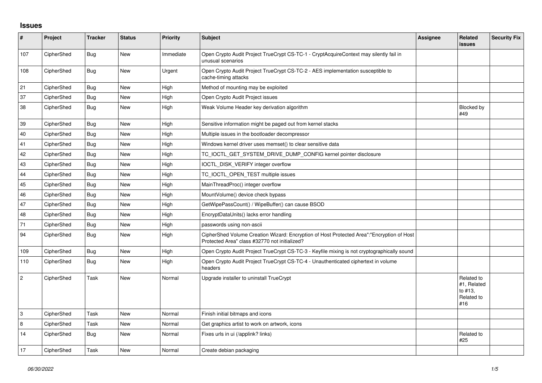## **Issues**

| $\pmb{\#}$     | Project    | <b>Tracker</b> | <b>Status</b> | <b>Priority</b> | <b>Subject</b>                                                                                                                             | Assignee | Related<br><b>issues</b>                                  | <b>Security Fix</b> |
|----------------|------------|----------------|---------------|-----------------|--------------------------------------------------------------------------------------------------------------------------------------------|----------|-----------------------------------------------------------|---------------------|
| 107            | CipherShed | Bug            | <b>New</b>    | Immediate       | Open Crypto Audit Project TrueCrypt CS-TC-1 - CryptAcquireContext may silently fail in<br>unusual scenarios                                |          |                                                           |                     |
| 108            | CipherShed | Bug            | <b>New</b>    | Urgent          | Open Crypto Audit Project TrueCrypt CS-TC-2 - AES implementation susceptible to<br>cache-timing attacks                                    |          |                                                           |                     |
| 21             | CipherShed | Bug            | <b>New</b>    | High            | Method of mounting may be exploited                                                                                                        |          |                                                           |                     |
| 37             | CipherShed | Bug            | <b>New</b>    | High            | Open Crypto Audit Project issues                                                                                                           |          |                                                           |                     |
| 38             | CipherShed | Bug            | New           | High            | Weak Volume Header key derivation algorithm                                                                                                |          | <b>Blocked by</b><br>#49                                  |                     |
| 39             | CipherShed | Bug            | <b>New</b>    | High            | Sensitive information might be paged out from kernel stacks                                                                                |          |                                                           |                     |
| 40             | CipherShed | <b>Bug</b>     | <b>New</b>    | High            | Multiple issues in the bootloader decompressor                                                                                             |          |                                                           |                     |
| 41             | CipherShed | Bug            | <b>New</b>    | High            | Windows kernel driver uses memset() to clear sensitive data                                                                                |          |                                                           |                     |
| 42             | CipherShed | <b>Bug</b>     | <b>New</b>    | High            | TC_IOCTL_GET_SYSTEM_DRIVE_DUMP_CONFIG kernel pointer disclosure                                                                            |          |                                                           |                     |
| 43             | CipherShed | <b>Bug</b>     | <b>New</b>    | High            | IOCTL_DISK_VERIFY integer overflow                                                                                                         |          |                                                           |                     |
| 44             | CipherShed | Bug            | <b>New</b>    | High            | TC IOCTL OPEN TEST multiple issues                                                                                                         |          |                                                           |                     |
| 45             | CipherShed | Bug            | <b>New</b>    | High            | MainThreadProc() integer overflow                                                                                                          |          |                                                           |                     |
| 46             | CipherShed | Bug            | <b>New</b>    | High            | MountVolume() device check bypass                                                                                                          |          |                                                           |                     |
| 47             | CipherShed | Bug            | New           | High            | GetWipePassCount() / WipeBuffer() can cause BSOD                                                                                           |          |                                                           |                     |
| 48             | CipherShed | Bug            | <b>New</b>    | High            | EncryptDataUnits() lacks error handling                                                                                                    |          |                                                           |                     |
| 71             | CipherShed | Bug            | New           | High            | passwords using non-ascii                                                                                                                  |          |                                                           |                     |
| 94             | CipherShed | Bug            | New           | High            | CipherShed Volume Creation Wizard: Encryption of Host Protected Area":"Encryption of Host<br>Protected Area" class #32770 not initialized? |          |                                                           |                     |
| 109            | CipherShed | Bug            | <b>New</b>    | High            | Open Crypto Audit Project TrueCrypt CS-TC-3 - Keyfile mixing is not cryptographically sound                                                |          |                                                           |                     |
| 110            | CipherShed | Bug            | <b>New</b>    | High            | Open Crypto Audit Project TrueCrypt CS-TC-4 - Unauthenticated ciphertext in volume<br>headers                                              |          |                                                           |                     |
| $\overline{c}$ | CipherShed | Task           | <b>New</b>    | Normal          | Upgrade installer to uninstall TrueCrypt                                                                                                   |          | Related to<br>#1, Related<br>to #13.<br>Related to<br>#16 |                     |
| $\,3$          | CipherShed | Task           | <b>New</b>    | Normal          | Finish initial bitmaps and icons                                                                                                           |          |                                                           |                     |
| 8              | CipherShed | Task           | <b>New</b>    | Normal          | Get graphics artist to work on artwork, icons                                                                                              |          |                                                           |                     |
| 14             | CipherShed | Bug            | New           | Normal          | Fixes urls in ui (/applink? links)                                                                                                         |          | Related to<br>#25                                         |                     |
| 17             | CipherShed | Task           | <b>New</b>    | Normal          | Create debian packaging                                                                                                                    |          |                                                           |                     |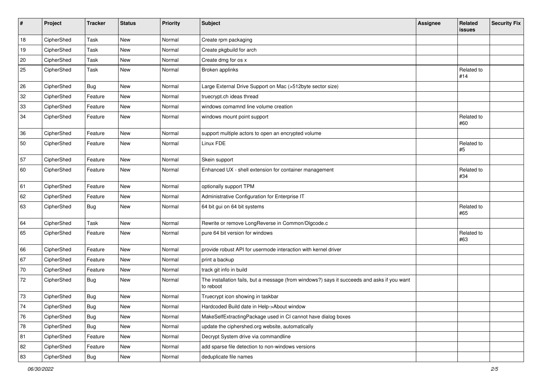| $\sharp$   | Project    | <b>Tracker</b> | <b>Status</b> | Priority | <b>Subject</b>                                                                                           | <b>Assignee</b> | Related<br>issues | <b>Security Fix</b> |
|------------|------------|----------------|---------------|----------|----------------------------------------------------------------------------------------------------------|-----------------|-------------------|---------------------|
| 18         | CipherShed | Task           | <b>New</b>    | Normal   | Create rpm packaging                                                                                     |                 |                   |                     |
| 19         | CipherShed | Task           | New           | Normal   | Create pkgbuild for arch                                                                                 |                 |                   |                     |
| 20         | CipherShed | Task           | New           | Normal   | Create dmg for os x                                                                                      |                 |                   |                     |
| 25         | CipherShed | Task           | New           | Normal   | Broken applinks                                                                                          |                 | Related to<br>#14 |                     |
| 26         | CipherShed | <b>Bug</b>     | <b>New</b>    | Normal   | Large External Drive Support on Mac (>512byte sector size)                                               |                 |                   |                     |
| 32         | CipherShed | Feature        | New           | Normal   | truecrypt.ch ideas thread                                                                                |                 |                   |                     |
| 33         | CipherShed | Feature        | New           | Normal   | windows comamnd line volume creation                                                                     |                 |                   |                     |
| 34         | CipherShed | Feature        | New           | Normal   | windows mount point support                                                                              |                 | Related to<br>#60 |                     |
| 36         | CipherShed | Feature        | New           | Normal   | support multiple actors to open an encrypted volume                                                      |                 |                   |                     |
| 50         | CipherShed | Feature        | New           | Normal   | Linux FDE                                                                                                |                 | Related to<br>#5  |                     |
| 57         | CipherShed | Feature        | New           | Normal   | Skein support                                                                                            |                 |                   |                     |
| 60         | CipherShed | Feature        | New           | Normal   | Enhanced UX - shell extension for container management                                                   |                 | Related to<br>#34 |                     |
| 61         | CipherShed | Feature        | New           | Normal   | optionally support TPM                                                                                   |                 |                   |                     |
| 62         | CipherShed | Feature        | New           | Normal   | Administrative Configuration for Enterprise IT                                                           |                 |                   |                     |
| 63         | CipherShed | Bug            | New           | Normal   | 64 bit gui on 64 bit systems                                                                             |                 | Related to<br>#65 |                     |
| 64         | CipherShed | Task           | New           | Normal   | Rewrite or remove LongReverse in Common/DIgcode.c                                                        |                 |                   |                     |
| 65         | CipherShed | Feature        | New           | Normal   | pure 64 bit version for windows                                                                          |                 | Related to<br>#63 |                     |
| 66         | CipherShed | Feature        | New           | Normal   | provide robust API for usermode interaction with kernel driver                                           |                 |                   |                     |
| 67         | CipherShed | Feature        | New           | Normal   | print a backup                                                                                           |                 |                   |                     |
| 70         | CipherShed | Feature        | New           | Normal   | track git info in build                                                                                  |                 |                   |                     |
| 72         | CipherShed | <b>Bug</b>     | New           | Normal   | The installation fails, but a message (from windows?) says it succeeds and asks if you want<br>to reboot |                 |                   |                     |
| 73         | CipherShed | Bug            | New           | Normal   | Truecrypt icon showing in taskbar                                                                        |                 |                   |                     |
| 74         | CipherShed | <b>Bug</b>     | New           | Normal   | Hardcoded Build date in Help->About window                                                               |                 |                   |                     |
| 76         | CipherShed | <b>Bug</b>     | New           | Normal   | MakeSelfExtractingPackage used in CI cannot have dialog boxes                                            |                 |                   |                     |
| ${\bf 78}$ | CipherShed | <b>Bug</b>     | New           | Normal   | update the ciphershed.org website, automatically                                                         |                 |                   |                     |
| 81         | CipherShed | Feature        | New           | Normal   | Decrypt System drive via commandline                                                                     |                 |                   |                     |
| 82         | CipherShed | Feature        | New           | Normal   | add sparse file detection to non-windows versions                                                        |                 |                   |                     |
| 83         | CipherShed | <b>Bug</b>     | New           | Normal   | deduplicate file names                                                                                   |                 |                   |                     |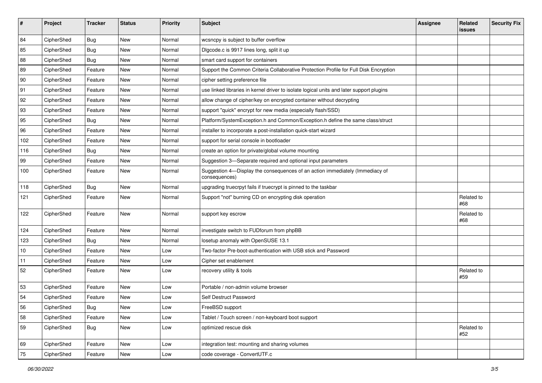| #   | Project    | <b>Tracker</b> | <b>Status</b> | Priority | <b>Subject</b>                                                                                | <b>Assignee</b> | Related<br>issues | <b>Security Fix</b> |
|-----|------------|----------------|---------------|----------|-----------------------------------------------------------------------------------------------|-----------------|-------------------|---------------------|
| 84  | CipherShed | <b>Bug</b>     | <b>New</b>    | Normal   | wcsncpy is subject to buffer overflow                                                         |                 |                   |                     |
| 85  | CipherShed | <b>Bug</b>     | New           | Normal   | Digcode.c is 9917 lines long, split it up                                                     |                 |                   |                     |
| 88  | CipherShed | <b>Bug</b>     | New           | Normal   | smart card support for containers                                                             |                 |                   |                     |
| 89  | CipherShed | Feature        | New           | Normal   | Support the Common Criteria Collaborative Protection Profile for Full Disk Encryption         |                 |                   |                     |
| 90  | CipherShed | Feature        | New           | Normal   | cipher setting preference file                                                                |                 |                   |                     |
| 91  | CipherShed | Feature        | New           | Normal   | use linked libraries in kernel driver to isolate logical units and later support plugins      |                 |                   |                     |
| 92  | CipherShed | Feature        | New           | Normal   | allow change of cipher/key on encrypted container without decrypting                          |                 |                   |                     |
| 93  | CipherShed | Feature        | New           | Normal   | support "quick" encrypt for new media (especially flash/SSD)                                  |                 |                   |                     |
| 95  | CipherShed | <b>Bug</b>     | New           | Normal   | Platform/SystemException.h and Common/Exception.h define the same class/struct                |                 |                   |                     |
| 96  | CipherShed | Feature        | New           | Normal   | installer to incorporate a post-installation quick-start wizard                               |                 |                   |                     |
| 102 | CipherShed | Feature        | New           | Normal   | support for serial console in bootloader                                                      |                 |                   |                     |
| 116 | CipherShed | <b>Bug</b>     | New           | Normal   | create an option for private/global volume mounting                                           |                 |                   |                     |
| 99  | CipherShed | Feature        | New           | Normal   | Suggestion 3-Separate required and optional input parameters                                  |                 |                   |                     |
| 100 | CipherShed | Feature        | New           | Normal   | Suggestion 4-Display the consequences of an action immediately (Immediacy of<br>consequences) |                 |                   |                     |
| 118 | CipherShed | <b>Bug</b>     | New           | Normal   | upgrading truecrpyt fails if truecrypt is pinned to the taskbar                               |                 |                   |                     |
| 121 | CipherShed | Feature        | New           | Normal   | Support "not" burning CD on encrypting disk operation                                         |                 | Related to<br>#68 |                     |
| 122 | CipherShed | Feature        | New           | Normal   | support key escrow                                                                            |                 | Related to<br>#68 |                     |
| 124 | CipherShed | Feature        | New           | Normal   | investigate switch to FUDforum from phpBB                                                     |                 |                   |                     |
| 123 | CipherShed | Bug            | New           | Normal   | losetup anomaly with OpenSUSE 13.1                                                            |                 |                   |                     |
| 10  | CipherShed | Feature        | New           | Low      | Two-factor Pre-boot-authentication with USB stick and Password                                |                 |                   |                     |
| 11  | CipherShed | Feature        | New           | Low      | Cipher set enablement                                                                         |                 |                   |                     |
| 52  | CipherShed | Feature        | New           | Low      | recovery utility & tools                                                                      |                 | Related to<br>#59 |                     |
| 53  | CipherShed | Feature        | <b>New</b>    | Low      | Portable / non-admin volume browser                                                           |                 |                   |                     |
| 54  | CipherShed | Feature        | New           | Low      | Self Destruct Password                                                                        |                 |                   |                     |
| 56  | CipherShed | <b>Bug</b>     | New           | LOW      | FreeBSD support                                                                               |                 |                   |                     |
| 58  | CipherShed | Feature        | New           | Low      | Tablet / Touch screen / non-keyboard boot support                                             |                 |                   |                     |
| 59  | CipherShed | <b>Bug</b>     | New           | Low      | optimized rescue disk                                                                         |                 | Related to<br>#52 |                     |
| 69  | CipherShed | Feature        | New           | Low      | integration test: mounting and sharing volumes                                                |                 |                   |                     |
| 75  | CipherShed | Feature        | New           | Low      | code coverage - ConvertUTF.c                                                                  |                 |                   |                     |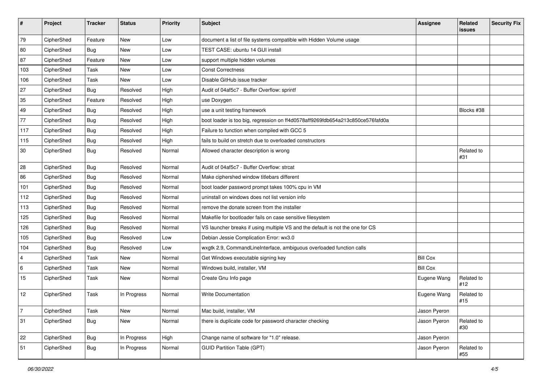| $\pmb{\#}$     | Project    | <b>Tracker</b> | <b>Status</b> | <b>Priority</b> | Subject                                                                        | <b>Assignee</b> | Related<br>issues | <b>Security Fix</b> |
|----------------|------------|----------------|---------------|-----------------|--------------------------------------------------------------------------------|-----------------|-------------------|---------------------|
| 79             | CipherShed | Feature        | <b>New</b>    | Low             | document a list of file systems compatible with Hidden Volume usage            |                 |                   |                     |
| 80             | CipherShed | <b>Bug</b>     | New           | Low             | TEST CASE: ubuntu 14 GUI install                                               |                 |                   |                     |
| 87             | CipherShed | Feature        | New           | Low             | support multiple hidden volumes                                                |                 |                   |                     |
| 103            | CipherShed | Task           | <b>New</b>    | Low             | <b>Const Correctness</b>                                                       |                 |                   |                     |
| 106            | CipherShed | Task           | New           | Low             | Disable GitHub issue tracker                                                   |                 |                   |                     |
| 27             | CipherShed | <b>Bug</b>     | Resolved      | High            | Audit of 04af5c7 - Buffer Overflow: sprintf                                    |                 |                   |                     |
| 35             | CipherShed | Feature        | Resolved      | High            | use Doxygen                                                                    |                 |                   |                     |
| 49             | CipherShed | <b>Bug</b>     | Resolved      | High            | use a unit testing framework                                                   |                 | Blocks #38        |                     |
| 77             | CipherShed | Bug            | Resolved      | High            | boot loader is too big, regression on ff4d0578aff9269fdb654a213c850ce576fafd0a |                 |                   |                     |
| 117            | CipherShed | Bug            | Resolved      | High            | Failure to function when compiled with GCC 5                                   |                 |                   |                     |
| 115            | CipherShed | Bug            | Resolved      | High            | fails to build on stretch due to overloaded constructors                       |                 |                   |                     |
| 30             | CipherShed | <b>Bug</b>     | Resolved      | Normal          | Allowed character description is wrong                                         |                 | Related to<br>#31 |                     |
| 28             | CipherShed | Bug            | Resolved      | Normal          | Audit of 04af5c7 - Buffer Overflow: strcat                                     |                 |                   |                     |
| 86             | CipherShed | Bug            | Resolved      | Normal          | Make ciphershed window titlebars different                                     |                 |                   |                     |
| 101            | CipherShed | <b>Bug</b>     | Resolved      | Normal          | boot loader password prompt takes 100% cpu in VM                               |                 |                   |                     |
| 112            | CipherShed | Bug            | Resolved      | Normal          | uninstall on windows does not list version info                                |                 |                   |                     |
| 113            | CipherShed | <b>Bug</b>     | Resolved      | Normal          | remove the donate screen from the installer                                    |                 |                   |                     |
| 125            | CipherShed | Bug            | Resolved      | Normal          | Makefile for bootloader fails on case sensitive filesystem                     |                 |                   |                     |
| 126            | CipherShed | Bug            | Resolved      | Normal          | VS launcher breaks if using multiple VS and the default is not the one for CS  |                 |                   |                     |
| 105            | CipherShed | <b>Bug</b>     | Resolved      | Low             | Debian Jessie Complication Error: wx3.0                                        |                 |                   |                     |
| 104            | CipherShed | Bug            | Resolved      | Low             | wxgtk 2.9, CommandLineInterface, ambiguous overloaded function calls           |                 |                   |                     |
| $\overline{4}$ | CipherShed | Task           | <b>New</b>    | Normal          | Get Windows executable signing key                                             | <b>Bill Cox</b> |                   |                     |
| 6              | CipherShed | Task           | <b>New</b>    | Normal          | Windows build, installer, VM                                                   | <b>Bill Cox</b> |                   |                     |
| 15             | CipherShed | Task           | <b>New</b>    | Normal          | Create Gnu Info page                                                           | Eugene Wang     | Related to<br>#12 |                     |
| 12             | CipherShed | Task           | In Progress   | Normal          | <b>Write Documentation</b>                                                     | Eugene Wang     | Related to<br>#15 |                     |
| $ 7\rangle$    | CipherShed | Task           | New           | Normal          | Mac build, installer, VM                                                       | Jason Pyeron    |                   |                     |
| 31             | CipherShed | <b>Bug</b>     | New           | Normal          | there is duplicate code for password character checking                        | Jason Pyeron    | Related to<br>#30 |                     |
| 22             | CipherShed | <b>Bug</b>     | In Progress   | High            | Change name of software for "1.0" release.                                     | Jason Pyeron    |                   |                     |
| 51             | CipherShed | <b>Bug</b>     | In Progress   | Normal          | <b>GUID Partition Table (GPT)</b>                                              | Jason Pyeron    | Related to<br>#55 |                     |